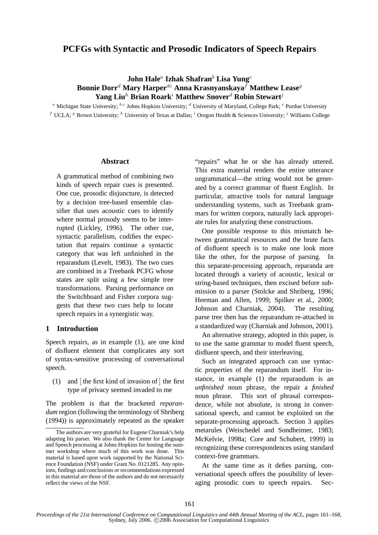# **PCFGs with Syntactic and Prosodic Indicators of Speech Repairs**

# $\mathbf{John \; Hale^a \; Izhak \; Shafran^b \; Lisa \; Yang^c}$ **Bonnie Dorr**<sup>d</sup> **Mary Harper**de **Anna Krasnyanskaya**<sup>f</sup> **Matthew Lease**<sup>g</sup> **Yang Liu**<sup>h</sup> **Brian Roark**<sup>i</sup> **Matthew Snover**<sup>d</sup> **Robin Stewart**<sup>j</sup>

<sup>a</sup> Michigan State University;  ${}^{b,c}$  Johns Hopkins University;  ${}^d$  University of Maryland, College Park;  ${}^e$  Purdue University <sup>f</sup> UCLA; <sup>g</sup> Brown University; <sup>h</sup> University of Texas at Dallas; <sup>i</sup> Oregon Health & Sciences University; <sup>j</sup> Williams College

#### **Abstract**

A grammatical method of combining two kinds of speech repair cues is presented. One cue, prosodic disjuncture, is detected by a decision tree-based ensemble classifier that uses acoustic cues to identify where normal prosody seems to be interrupted (Lickley, 1996). The other cue, syntactic parallelism, codifies the expectation that repairs continue a syntactic category that was left unfinished in the reparandum (Levelt, 1983). The two cues are combined in a Treebank PCFG whose states are split using a few simple tree transformations. Parsing performance on the Switchboard and Fisher corpora suggests that these two cues help to locate speech repairs in a synergistic way.

### **1 Introduction**

Speech repairs, as in example (1), are one kind of disfluent element that complicates any sort of syntax-sensitive processing of conversational speech.

(1) and  $\lceil \text{the first kind of invasion of } \rceil$  the first type of privacy seemed invaded to me

The problem is that the bracketed *reparandum* region (following the terminology of Shriberg (1994)) is approximately repeated as the speaker "repairs" what he or she has already uttered. This extra material renders the entire utterance ungrammatical—the string would not be generated by a correct grammar of fluent English. In particular, attractive tools for natural language understanding systems, such as Treebank grammars for written corpora, naturally lack appropriate rules for analyzing these constructions.

One possible response to this mismatch between grammatical resources and the brute facts of disfluent speech is to make one look more like the other, for the purpose of parsing. In this separate-processing approach, reparanda are located through a variety of acoustic, lexical or string-based techniques, then excised before submission to a parser (Stolcke and Shriberg, 1996; Heeman and Allen, 1999; Spilker et al., 2000; Johnson and Charniak, 2004). The resulting parse tree then has the reparandum re-attached in a standardized way (Charniak and Johnson, 2001).

An alternative strategy, adopted in this paper, is to use the same grammar to model fluent speech, disfluent speech, and their interleaving.

Such an integrated approach can use syntactic properties of the reparandum itself. For instance, in example (1) the reparandum is an *unfinished* noun phrase, the repair a *finished* noun phrase. This sort of phrasal correspondence, while not absolute, is strong in conversational speech, and cannot be exploited on the separate-processing approach. Section 3 applies metarules (Weischedel and Sondheimer, 1983; McKelvie, 1998a; Core and Schubert, 1999) in recognizing these correspondences using standard context-free grammars.

At the same time as it defies parsing, conversational speech offers the possibility of leveraging prosodic cues to speech repairs. Sec-

The authors are very grateful for Eugene Charniak's help adapting his parser. We also thank the Center for Language and Speech processing at Johns Hopkins for hosting the summer workshop where much of this work was done. This material is based upon work supported by the National Science Foundation (NSF) under Grant No. 0121285. Any opinions, findings and conclusions or recommendations expressed in this material are those of the authors and do not necessarily reflect the views of the NSF.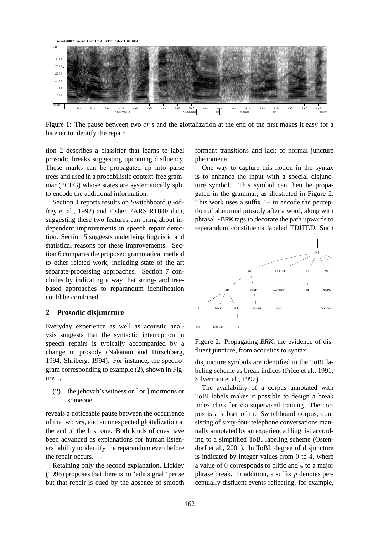File: sw02012\_1\_eg2.sph Page: 1 of 2 Printed: Thu Dec 15 22:50:02



Figure 1: The pause between two *or* s and the glottalization at the end of the first makes it easy for a listener to identify the repair.

tion 2 describes a classifier that learns to label prosodic breaks suggesting upcoming disfluency. These marks can be propagated up into parse trees and used in a probabilistic context-free grammar (PCFG) whose states are systematically split to encode the additional information.

Section 4 reports results on Switchboard (Godfrey et al., 1992) and Fisher EARS RT04F data, suggesting these two features can bring about independent improvements in speech repair detection. Section 5 suggests underlying linguistic and statistical reasons for these improvements. Section 6 compares the proposed grammatical method to other related work, including state of the art separate-processing approaches. Section 7 concludes by indicating a way that string- and treebased approaches to reparandum identification could be combined.

## **2 Prosodic disjuncture**

Everyday experience as well as acoustic analysis suggests that the syntactic interruption in speech repairs is typically accompanied by a change in prosody (Nakatani and Hirschberg, 1994; Shriberg, 1994). For instance, the spectrogram corresponding to example (2), shown in Figure 1,

(2) the jehovah's witness or [ or ] mormons or someone

reveals a noticeable pause between the occurrence of the two *or*s, and an unexpected glottalization at the end of the first one. Both kinds of cues have been advanced as explanations for human listeners' ability to identify the reparandum even before the repair occurs.

Retaining only the second explanation, Lickley (1996) proposes that there is no "edit signal" per se but that repair is cued by the absence of smooth

formant transitions and lack of normal juncture phenomena.

One way to capture this notion in the syntax is to enhance the input with a special disjuncture symbol. This symbol can then be propagated in the grammar, as illustrated in Figure 2. This work uses a suffix  $\tilde{+}$  to encode the perception of abnormal prosody after a word, along with phrasal -BRK tags to decorate the path upwards to reparandum constituents labeled EDITED. Such



Figure 2: Propagating *BRK*, the evidence of disfluent juncture, from acoustics to syntax.

disjuncture symbols are identified in the ToBI labeling scheme as break indices (Price et al., 1991; Silverman et al., 1992).

The availability of a corpus annotated with ToBI labels makes it possible to design a break index classifier via supervised training. The corpus is a subset of the Switchboard corpus, consisting of sixty-four telephone conversations manually annotated by an experienced linguist according to a simplified ToBI labeling scheme (Ostendorf et al., 2001). In ToBI, degree of disjuncture is indicated by integer values from 0 to 4, where a value of 0 corresponds to clitic and 4 to a major phrase break. In addition, a suffix  $p$  denotes perceptually disfluent events reflecting, for example,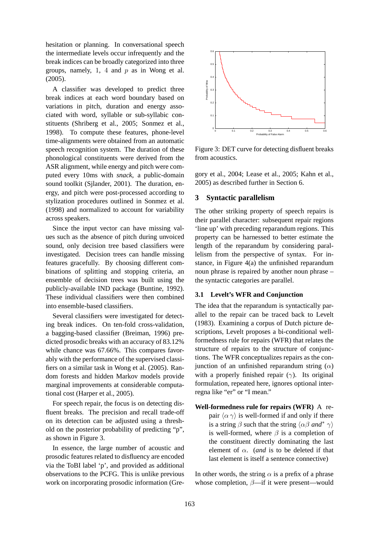hesitation or planning. In conversational speech the intermediate levels occur infrequently and the break indices can be broadly categorized into three groups, namely, 1, 4 and  $p$  as in Wong et al. (2005).

A classifier was developed to predict three break indices at each word boundary based on variations in pitch, duration and energy associated with word, syllable or sub-syllabic constituents (Shriberg et al., 2005; Sonmez et al., 1998). To compute these features, phone-level time-alignments were obtained from an automatic speech recognition system. The duration of these phonological constituents were derived from the ASR alignment, while energy and pitch were computed every 10ms with *snack*, a public-domain sound toolkit (Sjlander, 2001). The duration, energy, and pitch were post-processed according to stylization procedures outlined in Sonmez et al. (1998) and normalized to account for variability across speakers.

Since the input vector can have missing values such as the absence of pitch during unvoiced sound, only decision tree based classifiers were investigated. Decision trees can handle missing features gracefully. By choosing different combinations of splitting and stopping criteria, an ensemble of decision trees was built using the publicly-available IND package (Buntine, 1992). These individual classifiers were then combined into ensemble-based classifiers.

Several classifiers were investigated for detecting break indices. On ten-fold cross-validation, a bagging-based classifier (Breiman, 1996) predicted prosodic breaks with an accuracy of 83.12% while chance was 67.66%. This compares favorably with the performance of the supervised classifiers on a similar task in Wong et al. (2005). Random forests and hidden Markov models provide marginal improvements at considerable computational cost (Harper et al., 2005).

For speech repair, the focus is on detecting disfluent breaks. The precision and recall trade-off on its detection can be adjusted using a threshold on the posterior probability of predicting "p", as shown in Figure 3.

In essence, the large number of acoustic and prosodic features related to disfluency are encoded via the ToBI label 'p', and provided as additional observations to the PCFG. This is unlike previous work on incorporating prosodic information (Gre-



Figure 3: DET curve for detecting disfluent breaks from acoustics.

gory et al., 2004; Lease et al., 2005; Kahn et al., 2005) as described further in Section 6.

## **3 Syntactic parallelism**

The other striking property of speech repairs is their parallel character: subsequent repair regions 'line up' with preceding reparandum regions. This property can be harnessed to better estimate the length of the reparandum by considering parallelism from the perspective of syntax. For instance, in Figure 4(a) the unfinished reparandum noun phrase is repaired by another noun phrase – the syntactic categories are parallel.

## **3.1 Levelt's WFR and Conjunction**

The idea that the reparandum is syntactically parallel to the repair can be traced back to Levelt (1983). Examining a corpus of Dutch picture descriptions, Levelt proposes a bi-conditional wellformedness rule for repairs (WFR) that relates the structure of repairs to the structure of conjunctions. The WFR conceptualizes repairs as the conjunction of an unfinished reparandum string  $(\alpha)$ with a properly finished repair  $(\gamma)$ . Its original formulation, repeated here, ignores optional interregna like "er" or "I mean."

**Well-formedness rule for repairs (WFR)** A repair  $\langle \alpha \gamma \rangle$  is well-formed if and only if there is a string  $\beta$  such that the string  $\langle \alpha \beta$  *and*<sup>\*</sup>  $\gamma$ ) is well-formed, where  $\beta$  is a completion of the constituent directly dominating the last element of  $\alpha$ . (*and* is to be deleted if that last element is itself a sentence connective)

In other words, the string  $\alpha$  is a prefix of a phrase whose completion,  $\beta$ —if it were present—would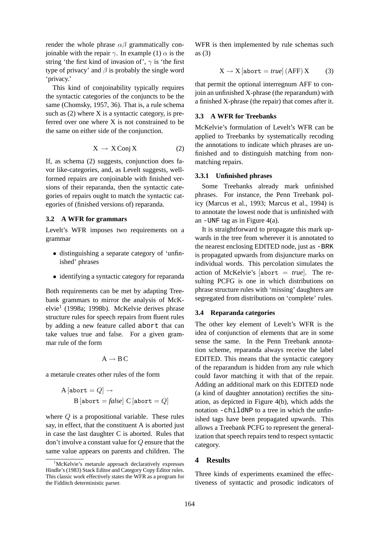render the whole phrase  $\alpha\beta$  grammatically conioinable with the repair  $\gamma$ . In example (1)  $\alpha$  is the string 'the first kind of invasion of',  $\gamma$  is 'the first type of privacy' and  $\beta$  is probably the single word 'privacy.'

This kind of conjoinability typically requires the syntactic categories of the conjuncts to be the same (Chomsky, 1957, 36). That is, a rule schema such as  $(2)$  where X is a syntactic category, is preferred over one where X is not constrained to be the same on either side of the conjunction.

$$
X \to X\operatorname{Conj} X \tag{2}
$$

If, as schema (2) suggests, conjunction does favor like-categories, and, as Levelt suggests, wellformed repairs are conjoinable with finished versions of their reparanda, then the syntactic categories of repairs ought to match the syntactic categories of (finished versions of) reparanda.

#### **3.2 A WFR for grammars**

Levelt's WFR imposes two requirements on a grammar

- distinguishing a separate category of 'unfinished' phrases
- identifying a syntactic category for reparanda

Both requirements can be met by adapting Treebank grammars to mirror the analysis of McKelvie<sup>1</sup> (1998a; 1998b). McKelvie derives phrase structure rules for speech repairs from fluent rules by adding a new feature called abort that can take values true and false. For a given grammar rule of the form

$$
A\to B\,C
$$

a metarule creates other rules of the form

$$
\begin{aligned} \text{A [abort} &= Q] \rightarrow \\ \text{B [abort} &= \text{false}] \text{ C [abort} = Q] \end{aligned}
$$

where  $Q$  is a propositional variable. These rules say, in effect, that the constituent A is aborted just in case the last daughter C is aborted. Rules that don't involve a constant value for Q ensure that the same value appears on parents and children. The

WFR is then implemented by rule schemas such as (3)

$$
X \to X \left[ \text{abort} = \text{true} \right] \left( \text{AFF} \right) X \tag{3}
$$

that permit the optional interregnum AFF to conjoin an unfinished X-phrase (the reparandum) with a finished X-phrase (the repair) that comes after it.

## **3.3 A WFR for Treebanks**

McKelvie's formulation of Levelt's WFR can be applied to Treebanks by systematically recoding the annotations to indicate which phrases are unfinished and to distinguish matching from nonmatching repairs.

#### **3.3.1 Unfinished phrases**

Some Treebanks already mark unfinished phrases. For instance, the Penn Treebank policy (Marcus et al., 1993; Marcus et al., 1994) is to annotate the lowest node that is unfinished with an  $-WNF$  tag as in Figure 4(a).

It is straightforward to propagate this mark upwards in the tree from wherever it is annotated to the nearest enclosing EDITED node, just as -BRK is propagated upwards from disjuncture marks on individual words. This percolation simulates the action of McKelvie's [abort = *true*]. The resulting PCFG is one in which distributions on phrase structure rules with 'missing' daughters are segregated from distributions on 'complete' rules.

#### **3.4 Reparanda categories**

The other key element of Levelt's WFR is the idea of conjunction of elements that are in some sense the same. In the Penn Treebank annotation scheme, reparanda always receive the label EDITED. This means that the syntactic category of the reparandum is hidden from any rule which could favor matching it with that of the repair. Adding an additional mark on this EDITED node (a kind of daughter annotation) rectifies the situation, as depicted in Figure 4(b), which adds the notation -childNP to a tree in which the unfinished tags have been propagated upwards. This allows a Treebank PCFG to represent the generalization that speech repairs tend to respect syntactic category.

### **4 Results**

Three kinds of experiments examined the effectiveness of syntactic and prosodic indicators of

<sup>&</sup>lt;sup>1</sup>McKelvie's metarule approach declaratively expresses Hindle's (1983) Stack Editor and Category Copy Editor rules. This classic work effectively states the WFR as a program for the Fidditch deterministic parser.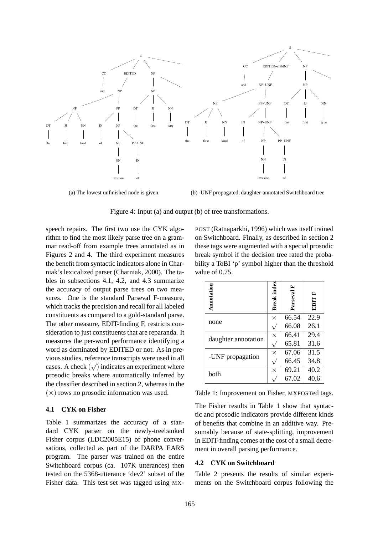

(b) -UNF propagated, daughter-annotated Switchboard tree

Figure 4: Input (a) and output (b) of tree transformations.

speech repairs. The first two use the CYK algorithm to find the most likely parse tree on a grammar read-off from example trees annotated as in Figures 2 and 4. The third experiment measures the benefit from syntactic indicators alone in Charniak's lexicalized parser (Charniak, 2000). The tables in subsections 4.1, 4.2, and 4.3 summarize the accuracy of output parse trees on two measures. One is the standard Parseval F-measure, which tracks the precision and recall for all labeled constituents as compared to a gold-standard parse. The other measure, EDIT-finding F, restricts consideration to just constituents that are reparanda. It measures the per-word performance identifying a word as dominated by EDITED or not. As in previous studies, reference transcripts were used in all  $\alpha$  cases. A check  $(\sqrt{\ })$  indicates an experiment where prosodic breaks where automatically inferred by the classifier described in section 2, whereas in the  $(\times)$  rows no prosodic information was used.

## **4.1 CYK on Fisher**

Table 1 summarizes the accuracy of a standard CYK parser on the newly-treebanked Fisher corpus (LDC2005E15) of phone conversations, collected as part of the DARPA EARS program. The parser was trained on the entire Switchboard corpus (ca. 107K utterances) then tested on the 5368-utterance 'dev2' subset of the Fisher data. This test set was tagged using MX-

POST (Ratnaparkhi, 1996) which was itself trained on Switchboard. Finally, as described in section 2 these tags were augmented with a special prosodic break symbol if the decision tree rated the probability a ToBI 'p' symbol higher than the threshold value of 0.75.

| Annotation          | <b>Break</b> index | ≃<br>Parseval | <b>EDIT F</b> |
|---------------------|--------------------|---------------|---------------|
| none                | $\times$           | 66.54         | 22.9          |
|                     |                    | 66.08         | 26.1          |
| daughter annotation | $\times$           | 66.41         | 29.4          |
|                     |                    | 65.81         | 31.6          |
| -UNF propagation    | $\times$           | 67.06         | 31.5          |
|                     |                    | 66.45         | 34.8          |
| both                | $\times$           | 69.21         | 40.2          |
|                     |                    | 67.02         | 40.6          |

Table 1: Improvement on Fisher, MXPOSTed tags.

The Fisher results in Table 1 show that syntactic and prosodic indicators provide different kinds of benefits that combine in an additive way. Presumably because of state-splitting, improvement in EDIT-finding comes at the cost of a small decrement in overall parsing performance.

## **4.2 CYK on Switchboard**

Table 2 presents the results of similar experiments on the Switchboard corpus following the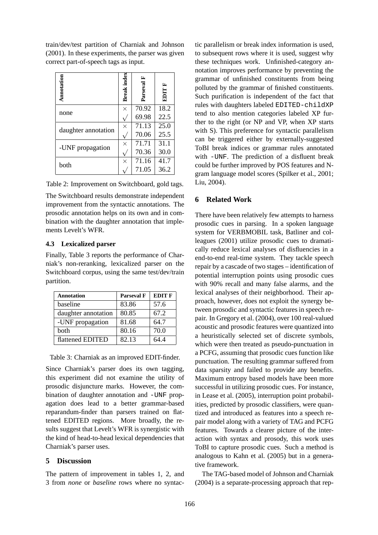train/dev/test partition of Charniak and Johnson (2001). In these experiments, the parser was given correct part-of-speech tags as input.

| Annotation          | <b>Break</b> index | E<br>Parseval | <b>EDIT F</b> |
|---------------------|--------------------|---------------|---------------|
| none                | $\times$           | 70.92         | 18.2          |
|                     |                    | 69.98         | 22.5          |
| daughter annotation | $\times$           | 71.13         | 25.0          |
|                     |                    | 70.06         | 25.5          |
| -UNF propagation    | $\times$           | 71.71         | 31.1          |
|                     |                    | 70.36         | 30.0          |
| both                | $\times$           | 71.16         | 41.7          |
|                     |                    | 71.05         | 36.2          |

Table 2: Improvement on Switchboard, gold tags.

The Switchboard results demonstrate independent improvement from the syntactic annotations. The prosodic annotation helps on its own and in combination with the daughter annotation that implements Levelt's WFR.

### **4.3 Lexicalized parser**

Finally, Table 3 reports the performance of Charniak's non-reranking, lexicalized parser on the Switchboard corpus, using the same test/dev/train partition.

| <b>Annotation</b>   | <b>Parseval F</b> | <b>EDIT F</b> |
|---------------------|-------------------|---------------|
| baseline            | 83.86             | 57.6          |
| daughter annotation | 80.85             | 67.2          |
| -UNF propagation    | 81.68             | 64.7          |
| both                | 80.16             | 70.0          |
| flattened EDITED    | 82.13             | 64.4          |

Table 3: Charniak as an improved EDIT-finder.

Since Charniak's parser does its own tagging, this experiment did not examine the utility of prosodic disjuncture marks. However, the combination of daughter annotation and -UNF propagation does lead to a better grammar-based reparandum-finder than parsers trained on flattened EDITED regions. More broadly, the results suggest that Levelt's WFR is synergistic with the kind of head-to-head lexical dependencies that Charniak's parser uses.

### **5 Discussion**

The pattern of improvement in tables 1, 2, and 3 from *none* or *baseline* rows where no syntac-

tic parallelism or break index information is used, to subsequent rows where it is used, suggest why these techniques work. Unfinished-category annotation improves performance by preventing the grammar of unfinished constituents from being polluted by the grammar of finished constituents. Such purification is independent of the fact that rules with daughters labeled EDITED-childXP tend to also mention categories labeled XP further to the right (or NP and VP, when XP starts with S). This preference for syntactic parallelism can be triggered either by externally-suggested ToBI break indices or grammar rules annotated with -UNF. The prediction of a disfluent break could be further improved by POS features and Ngram language model scores (Spilker et al., 2001; Liu, 2004).

## **6 Related Work**

There have been relatively few attempts to harness prosodic cues in parsing. In a spoken language system for VERBMOBIL task, Batliner and colleagues (2001) utilize prosodic cues to dramatically reduce lexical analyses of disfluencies in a end-to-end real-time system. They tackle speech repair by a cascade of two stages – identification of potential interruption points using prosodic cues with 90% recall and many false alarms, and the lexical analyses of their neighborhood. Their approach, however, does not exploit the synergy between prosodic and syntactic features in speech repair. In Gregory et al. (2004), over 100 real-valued acoustic and prosodic features were quantized into a heuristically selected set of discrete symbols, which were then treated as pseudo-punctuation in a PCFG, assuming that prosodic cues function like punctuation. The resulting grammar suffered from data sparsity and failed to provide any benefits. Maximum entropy based models have been more successful in utilizing prosodic cues. For instance, in Lease et al. (2005), interruption point probabilities, predicted by prosodic classifiers, were quantized and introduced as features into a speech repair model along with a variety of TAG and PCFG features. Towards a clearer picture of the interaction with syntax and prosody, this work uses ToBI to capture prosodic cues. Such a method is analogous to Kahn et al. (2005) but in a generative framework.

The TAG-based model of Johnson and Charniak (2004) is a separate-processing approach that rep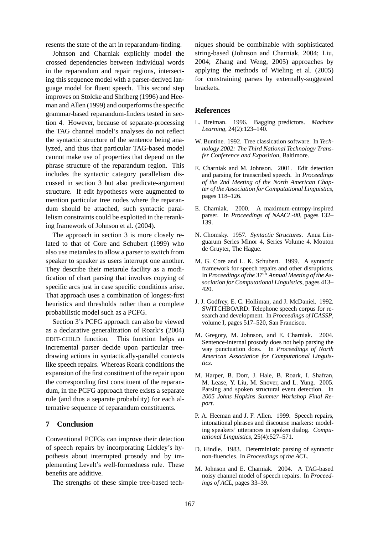resents the state of the art in reparandum-finding.

Johnson and Charniak explicitly model the crossed dependencies between individual words in the reparandum and repair regions, intersecting this sequence model with a parser-derived language model for fluent speech. This second step improves on Stolcke and Shriberg (1996) and Heeman and Allen (1999) and outperforms the specific grammar-based reparandum-finders tested in section 4. However, because of separate-processing the TAG channel model's analyses do not reflect the syntactic structure of the sentence being analyzed, and thus that particular TAG-based model cannot make use of properties that depend on the phrase structure of the reparandum region. This includes the syntactic category parallelism discussed in section 3 but also predicate-argument structure. If edit hypotheses were augmented to mention particular tree nodes where the reparandum should be attached, such syntactic parallelism constraints could be exploited in the reranking framework of Johnson et al. (2004).

The approach in section 3 is more closely related to that of Core and Schubert (1999) who also use metarules to allow a parser to switch from speaker to speaker as users interrupt one another. They describe their metarule facility as a modification of chart parsing that involves copying of specific arcs just in case specific conditions arise. That approach uses a combination of longest-first heuristics and thresholds rather than a complete probabilistic model such as a PCFG.

Section 3's PCFG approach can also be viewed as a declarative generalization of Roark's (2004) EDIT-CHILD function. This function helps an incremental parser decide upon particular treedrawing actions in syntactically-parallel contexts like speech repairs. Whereas Roark conditions the expansion of the first constituent of the repair upon the corresponding first constituent of the reparandum, in the PCFG approach there exists a separate rule (and thus a separate probability) for each alternative sequence of reparandum constituents.

## **7 Conclusion**

Conventional PCFGs can improve their detection of speech repairs by incorporating Lickley's hypothesis about interrupted prosody and by implementing Levelt's well-formedness rule. These benefits are additive.

The strengths of these simple tree-based tech-

niques should be combinable with sophisticated string-based (Johnson and Charniak, 2004; Liu, 2004; Zhang and Weng, 2005) approaches by applying the methods of Wieling et al. (2005) for constraining parses by externally-suggested brackets.

#### **References**

- L. Breiman. 1996. Bagging predictors. *Machine Learning*, 24(2):123–140.
- W. Buntine. 1992. Tree classication software. In *Technology 2002: The Third National Technology Transfer Conference and Exposition*, Baltimore.
- E. Charniak and M. Johnson. 2001. Edit detection and parsing for transcribed speech. In *Proceedings of the 2nd Meeting of the North American Chapter of the Association for Computational Linguistics*, pages 118–126.
- E. Charniak. 2000. A maximum-entropy-inspired parser. In *Proceedings of NAACL-00*, pages 132– 139.
- N. Chomsky. 1957. *Syntactic Structures*. Anua Linguarum Series Minor 4, Series Volume 4. Mouton de Gruyter, The Hague.
- M. G. Core and L. K. Schubert. 1999. A syntactic framework for speech repairs and other disruptions. In *Proceedings of the 37*th *Annual Meeting of the Association for Computational Linguistics*, pages 413– 420.
- J. J. Godfrey, E. C. Holliman, and J. McDaniel. 1992. SWITCHBOARD: Telephone speech corpus for research and development. In *Proceedings of ICASSP*, volume I, pages 517–520, San Francisco.
- M. Gregory, M. Johnson, and E. Charniak. 2004. Sentence-internal prosody does not help parsing the way punctuation does. In *Proceedings of North American Association for Computational Linguistics*.
- M. Harper, B. Dorr, J. Hale, B. Roark, I. Shafran, M. Lease, Y. Liu, M. Snover, and L. Yung. 2005. Parsing and spoken structural event detection. In *2005 Johns Hopkins Summer Workshop Final Report*.
- P. A. Heeman and J. F. Allen. 1999. Speech repairs, intonational phrases and discourse markers: modeling speakers' utterances in spoken dialog. *Computational Linguistics*, 25(4):527–571.
- D. Hindle. 1983. Deterministic parsing of syntactic non-fluencies. In *Proceedings of the ACL*.
- M. Johnson and E. Charniak. 2004. A TAG-based noisy channel model of speech repairs. In *Proceedings of ACL*, pages 33–39.